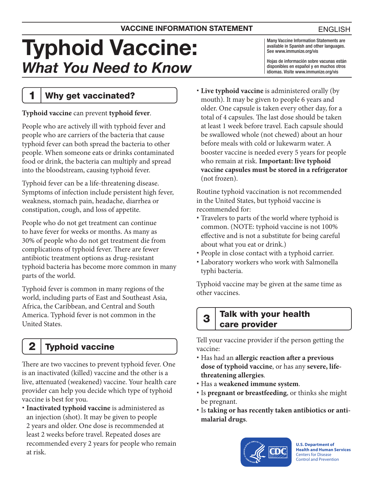# Typhoid Vaccine: *What You Need to Know*

Many Vaccine Information Statements are available in Spanish and other languages. See [www.immunize.org/vis](http://www.immunize.org/vis)

Hojas de información sobre vacunas están disponibles en español y en muchos otros idiomas. Visite [www.immunize.org/vis](http://www.immunize.org/vis)

1 | Why get vaccinated?

#### **Typhoid vaccine** can prevent **typhoid fever**.

People who are actively ill with typhoid fever and people who are carriers of the bacteria that cause typhoid fever can both spread the bacteria to other people. When someone eats or drinks contaminated food or drink, the bacteria can multiply and spread into the bloodstream, causing typhoid fever.

Typhoid fever can be a life-threatening disease. Symptoms of infection include persistent high fever, weakness, stomach pain, headache, diarrhea or constipation, cough, and loss of appetite.

People who do not get treatment can continue to have fever for weeks or months. As many as 30% of people who do not get treatment die from complications of typhoid fever. There are fewer antibiotic treatment options as drug-resistant typhoid bacteria has become more common in many parts of the world.

Typhoid fever is common in many regions of the world, including parts of East and Southeast Asia, Africa, the Caribbean, and Central and South America. Typhoid fever is not common in the United States.

# $2$  Typhoid vaccine

There are two vaccines to prevent typhoid fever. One is an inactivated (killed) vaccine and the other is a live, attenuated (weakened) vaccine. Your health care provider can help you decide which type of typhoid vaccine is best for you.

 **Inactivated typhoid vaccine** is administered as an injection (shot). It may be given to people 2 years and older. One dose is recommended at least 2 weeks before travel. Repeated doses are recommended every 2 years for people who remain at risk.

 **Live typhoid vaccine** is administered orally (by mouth). It may be given to people 6 years and older. One capsule is taken every other day, for a total of 4 capsules. The last dose should be taken at least 1 week before travel. Each capsule should be swallowed whole (not chewed) about an hour before meals with cold or lukewarm water. A booster vaccine is needed every 5 years for people who remain at risk. **Important: live typhoid vaccine capsules must be stored in a refrigerator**  (not frozen).

Routine typhoid vaccination is not recommended in the United States, but typhoid vaccine is recommended for:

- Travelers to parts of the world where typhoid is common. (NOTE: typhoid vaccine is not 100% effective and is not a substitute for being careful about what you eat or drink.)
- People in close contact with a typhoid carrier.
- Laboratory workers who work with Salmonella typhi bacteria.

Typhoid vaccine may be given at the same time as other vaccines.

### $3$  Talk with your health care provider

Tell your vaccine provider if the person getting the vaccine:

- Has had an **allergic reaction after a previous dose of typhoid vaccine**, or has any **severe, lifethreatening allergies**.
- Has a **weakened immune system**.
- Is **pregnant or breastfeeding**, or thinks she might be pregnant.
- Is **taking or has recently taken antibiotics or antimalarial drugs**.



**U.S. Department of Health and Human Services**  Centers for Disease Control and Prevention

#### ENGLISH